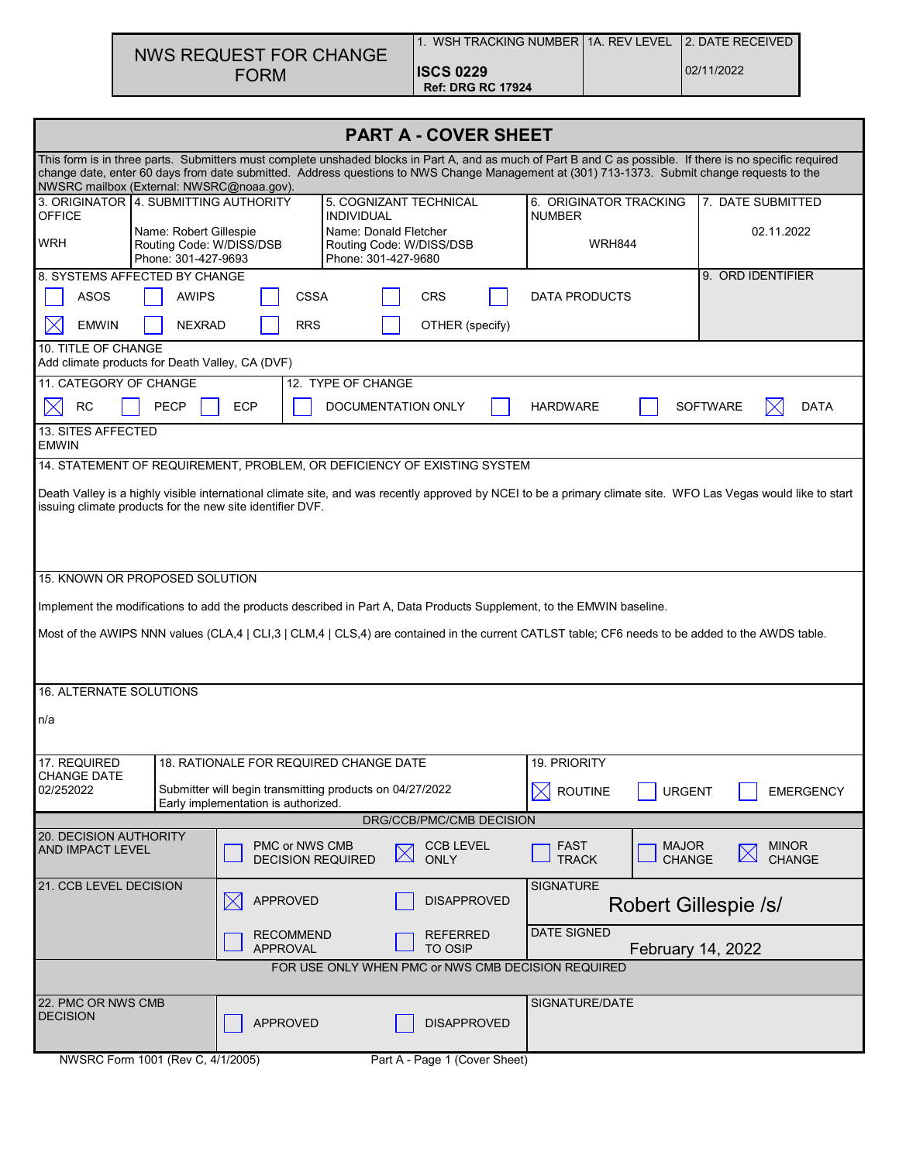| NWS REQUEST FOR CHANGE |  |
|------------------------|--|
| <b>FORM</b>            |  |

**PART A - COVER SHEET** This form is in three parts. Submitters must complete unshaded blocks in Part A, and as much of Part B and C as possible. If there is no specific required change date, enter 60 days from date submitted. Address questions to NWS Change Management at (301) 713-1373. Submit change requests to the NWSRC mailbox (External: NWSRC@noaa.gov). 6. ORIGINATOR TRACKING 7. DATE SUBMITTED 3. ORIGINATOR | 4. SUBMITTING AUTHORITY | 5. COGNIZANT TECHNICAL OFFICE INDIVIDUAL NUMBER Name: Robert Gillespie Name: Donald Fletcher 02.11.2022 Routing Code: W/DISS/DSB **WRH** Routing Code: W/DISS/DSB WRH844 Phone: 301-427-9693 Phone: 301-427-9680 8. SYSTEMS AFFECTED BY CHANGE A RELATION CONTROL CONTROL CONTROL OF A SYSTEMS AFFECTED BY CHANGE ASOS | AWIPS | CSSA | CRS | DATA PRODUCTS  $\bowtie$ EMWIN | NEXRAD | RRS | OTHER (specify) 10. TITLE OF CHANGE Add climate products for Death Valley, CA (DVF) 11. CATEGORY OF CHANGE 12. TYPE OF CHANGE  $\boxtimes$ RC | PECP | ECP | DOCUMENTATION ONLY | HARDWARE | SOFTWARE X DATA 13. SITES AFFECTED EMWIN 14. STATEMENT OF REQUIREMENT, PROBLEM, OR DEFICIENCY OF EXISTING SYSTEM Death Valley is a highly visible international climate site, and was recently approved by NCEI to be a primary climate site. WFO Las Vegas would like to start issuing climate products for the new site identifier DVF. 15. KNOWN OR PROPOSED SOLUTION Implement the modifications to add the products described in Part A, Data Products Supplement, to the EMWIN baseline. Most of the AWIPS NNN values (CLA,4 | CLI,3 | CLM,4 | CLS,4) are contained in the current CATLST table; CF6 needs to be added to the AWDS table. 16. ALTERNATE SOLUTIONS n/a 17. REQUIRED 18. RATIONALE FOR REQUIRED CHANGE DATE 19. PRIORITY CHANGE DATE 02/252022 Submitter will begin transmitting products on 04/27/2022 **ROUTINE | URGENT | EMERGENCY** Early implementation is authorized. DRG/CCB/PMC/CMB DECISION 20. DECISION AUTHORITY FAST AND IMPACT LEVEL **FOUR SEXUAL PROPERTY PMC** or NWS CMB CCB LEVEL MAJOR **MINOR**  $\boxtimes$  $\boxtimes$ **TRACK CHANGE** DECISION REQUIRED **ONLY** CHANGE 21. CCB LEVEL DECISION **SIGNATURE**  $\boxtimes$ APPROVED | DISAPPROVED Robert Gillespie /s/ DATE SIGNED REFERRED RECOMMEND APPROVAL TO OSIP February 14, 2022 FOR USE ONLY WHEN PMC or NWS CMB DECISION REQUIRED 22. PMC OR NWS CMB SIGNATURE/DATE APPROVED DISAPPROVED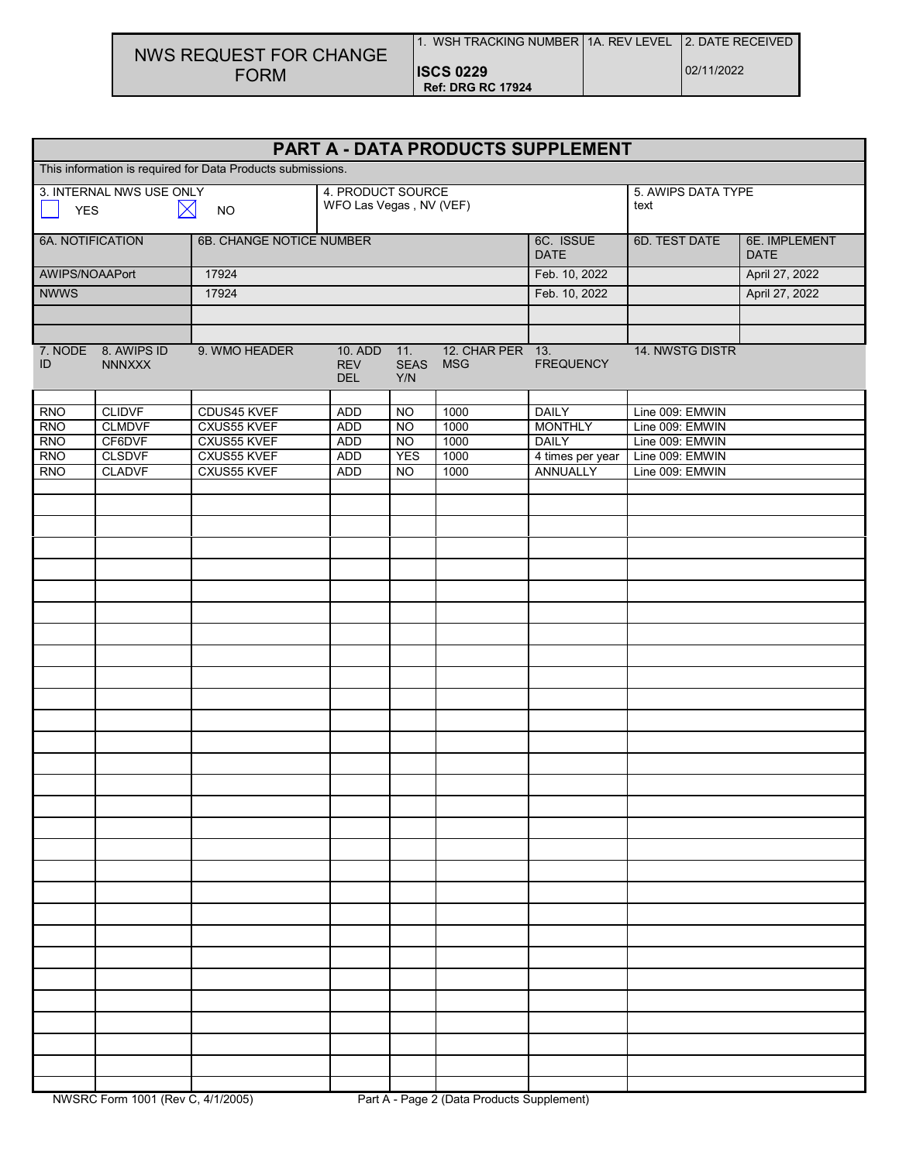| NWS REQUEST FOR CHANGE |
|------------------------|
| <b>FORM</b>            |

|                                                             | PART A - DATA PRODUCTS SUPPLEMENT             |                            |                                         |                             |                                |                                |                                    |                |
|-------------------------------------------------------------|-----------------------------------------------|----------------------------|-----------------------------------------|-----------------------------|--------------------------------|--------------------------------|------------------------------------|----------------|
| This information is required for Data Products submissions. |                                               |                            |                                         |                             |                                |                                |                                    |                |
|                                                             | 4. PRODUCT SOURCE<br>3. INTERNAL NWS USE ONLY |                            |                                         | 5. AWIPS DATA TYPE          |                                |                                |                                    |                |
| $\boxtimes$<br><b>YES</b><br><b>NO</b>                      |                                               |                            | WFO Las Vegas, NV (VEF)                 |                             |                                |                                | text                               |                |
| <b>6A. NOTIFICATION</b><br>6B. CHANGE NOTICE NUMBER         |                                               |                            | 6C. ISSUE<br><b>DATE</b>                | 6D. TEST DATE               | 6E. IMPLEMENT<br><b>DATE</b>   |                                |                                    |                |
| AWIPS/NOAAPort                                              |                                               | 17924                      |                                         |                             |                                | Feb. 10, 2022                  |                                    | April 27, 2022 |
| <b>NWWS</b>                                                 |                                               | 17924                      |                                         |                             |                                | Feb. 10, 2022                  |                                    | April 27, 2022 |
|                                                             |                                               |                            |                                         |                             |                                |                                |                                    |                |
|                                                             |                                               |                            |                                         |                             |                                |                                |                                    |                |
| 7. NODE<br>ID                                               | 8. AWIPS ID<br><b>NNNXXX</b>                  | 9. WMO HEADER              | 10. ADD 11.<br><b>REV</b><br><b>DEL</b> | <b>SEAS</b><br>Y/N          | 12. CHAR PER 13.<br><b>MSG</b> | <b>FREQUENCY</b>               | 14. NWSTG DISTR                    |                |
|                                                             |                                               |                            |                                         |                             |                                |                                |                                    |                |
| <b>RNO</b>                                                  | <b>CLIDVF</b>                                 | CDUS45 KVEF                | <b>ADD</b>                              | $\overline{3}$              | 1000                           | <b>DAILY</b>                   | Line 009: EMWIN                    |                |
| <b>RNO</b><br><b>RNO</b>                                    | <b>CLMDVF</b><br>CF6DVF                       | CXUS55 KVEF<br>CXUS55 KVEF | <b>ADD</b><br><b>ADD</b>                | <b>NO</b><br>N <sub>O</sub> | 1000<br>1000                   | <b>MONTHLY</b><br><b>DAILY</b> | Line 009: EMWIN<br>Line 009: EMWIN |                |
| <b>RNO</b>                                                  | <b>CLSDVF</b>                                 | CXUS55 KVEF                | <b>ADD</b>                              | <b>YES</b>                  | 1000                           | 4 times per year               | Line 009: EMWIN                    |                |
| <b>RNO</b>                                                  | <b>CLADVF</b>                                 | CXUS55 KVEF                | <b>ADD</b>                              | <b>NO</b>                   | 1000                           | ANNUALLY                       | Line 009: EMWIN                    |                |
|                                                             |                                               |                            |                                         |                             |                                |                                |                                    |                |
|                                                             |                                               |                            |                                         |                             |                                |                                |                                    |                |
|                                                             |                                               |                            |                                         |                             |                                |                                |                                    |                |
|                                                             |                                               |                            |                                         |                             |                                |                                |                                    |                |
|                                                             |                                               |                            |                                         |                             |                                |                                |                                    |                |
|                                                             |                                               |                            |                                         |                             |                                |                                |                                    |                |
|                                                             |                                               |                            |                                         |                             |                                |                                |                                    |                |
|                                                             |                                               |                            |                                         |                             |                                |                                |                                    |                |
|                                                             |                                               |                            |                                         |                             |                                |                                |                                    |                |
|                                                             |                                               |                            |                                         |                             |                                |                                |                                    |                |
|                                                             |                                               |                            |                                         |                             |                                |                                |                                    |                |
|                                                             |                                               |                            |                                         |                             |                                |                                |                                    |                |
|                                                             |                                               |                            |                                         |                             |                                |                                |                                    |                |
|                                                             |                                               |                            |                                         |                             |                                |                                |                                    |                |
|                                                             |                                               |                            |                                         |                             |                                |                                |                                    |                |
|                                                             |                                               |                            |                                         |                             |                                |                                |                                    |                |
|                                                             |                                               |                            |                                         |                             |                                |                                |                                    |                |
|                                                             |                                               |                            |                                         |                             |                                |                                |                                    |                |
|                                                             |                                               |                            |                                         |                             |                                |                                |                                    |                |
|                                                             |                                               |                            |                                         |                             |                                |                                |                                    |                |
|                                                             |                                               |                            |                                         |                             |                                |                                |                                    |                |
|                                                             |                                               |                            |                                         |                             |                                |                                |                                    |                |
|                                                             |                                               |                            |                                         |                             |                                |                                |                                    |                |
|                                                             |                                               |                            |                                         |                             |                                |                                |                                    |                |
|                                                             |                                               |                            |                                         |                             |                                |                                |                                    |                |
|                                                             |                                               |                            |                                         |                             |                                |                                |                                    |                |
|                                                             |                                               |                            |                                         |                             |                                |                                |                                    |                |
|                                                             |                                               |                            |                                         |                             |                                |                                |                                    |                |
|                                                             |                                               |                            |                                         |                             |                                |                                |                                    |                |
|                                                             |                                               |                            |                                         |                             |                                |                                |                                    |                |
|                                                             |                                               |                            |                                         |                             |                                |                                |                                    |                |
|                                                             |                                               |                            |                                         |                             |                                |                                |                                    |                |
|                                                             |                                               |                            |                                         |                             |                                |                                |                                    |                |
|                                                             |                                               |                            |                                         |                             |                                |                                |                                    |                |
|                                                             |                                               |                            |                                         |                             |                                |                                |                                    |                |
|                                                             |                                               |                            |                                         |                             |                                |                                |                                    |                |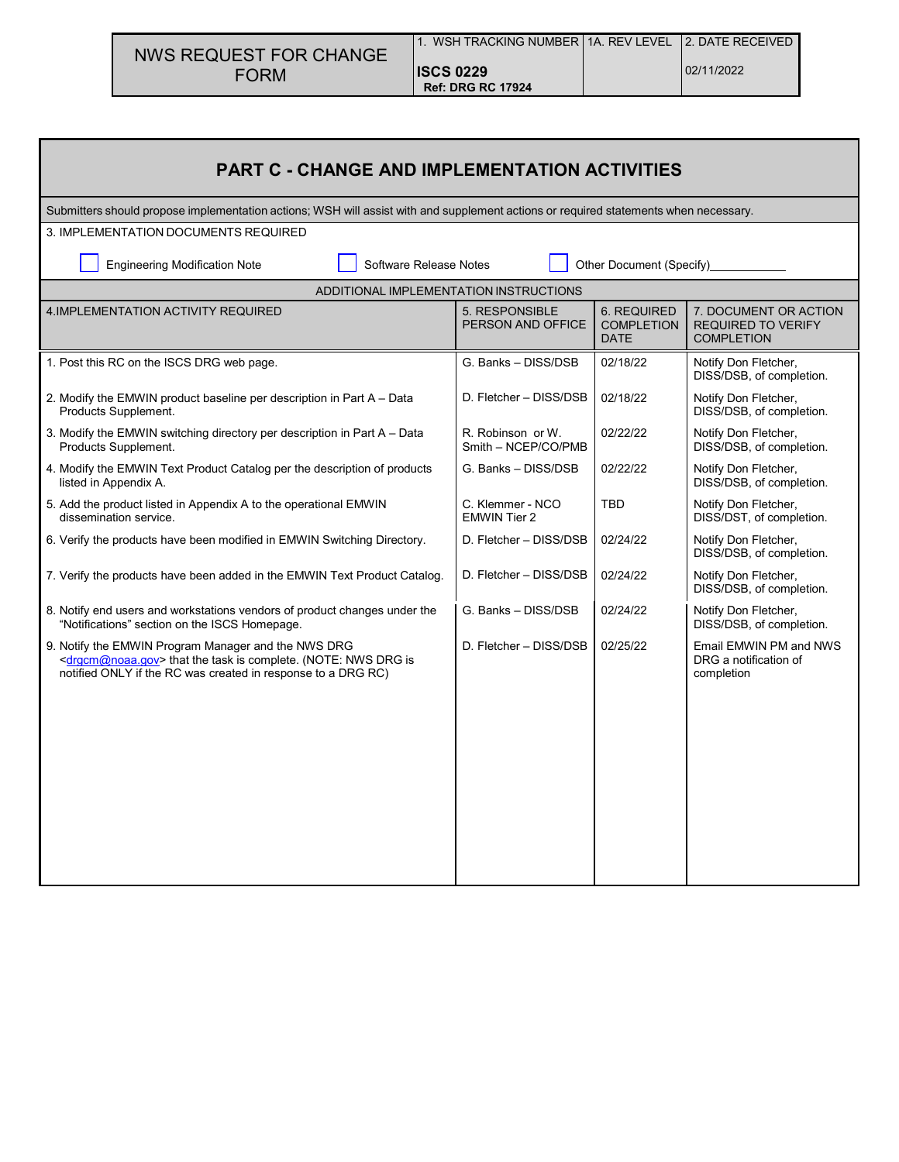| NWS REQUEST FOR CHANGE | i 1. WSH TRACKING NUMBER   1A. REV LEVEL   2. DATE RECEIVED |            |
|------------------------|-------------------------------------------------------------|------------|
| <b>FORM</b>            | <b>ISCS 0229</b>                                            | 02/11/2022 |
|                        | <b>Ref: DRG RC 17924</b>                                    |            |

| <b>PART C - CHANGE AND IMPLEMENTATION ACTIVITIES</b>                                                                                                                                                   |                                          |                                                        |                                                                         |  |  |  |  |
|--------------------------------------------------------------------------------------------------------------------------------------------------------------------------------------------------------|------------------------------------------|--------------------------------------------------------|-------------------------------------------------------------------------|--|--|--|--|
| Submitters should propose implementation actions; WSH will assist with and supplement actions or required statements when necessary.                                                                   |                                          |                                                        |                                                                         |  |  |  |  |
| 3. IMPLEMENTATION DOCUMENTS REQUIRED                                                                                                                                                                   |                                          |                                                        |                                                                         |  |  |  |  |
| Software Release Notes<br>Other Document (Specify)<br><b>Engineering Modification Note</b>                                                                                                             |                                          |                                                        |                                                                         |  |  |  |  |
|                                                                                                                                                                                                        | ADDITIONAL IMPLEMENTATION INSTRUCTIONS   |                                                        |                                                                         |  |  |  |  |
| 4. IMPLEMENTATION ACTIVITY REQUIRED                                                                                                                                                                    | 5. RESPONSIBLE<br>PERSON AND OFFICE      | <b>6. REQUIRED</b><br><b>COMPLETION</b><br><b>DATE</b> | 7. DOCUMENT OR ACTION<br><b>REQUIRED TO VERIFY</b><br><b>COMPLETION</b> |  |  |  |  |
| 1. Post this RC on the ISCS DRG web page.                                                                                                                                                              | G. Banks - DISS/DSB                      | 02/18/22                                               | Notify Don Fletcher,<br>DISS/DSB, of completion.                        |  |  |  |  |
| 2. Modify the EMWIN product baseline per description in Part A - Data<br>Products Supplement.                                                                                                          | D. Fletcher - DISS/DSB                   | 02/18/22                                               | Notify Don Fletcher,<br>DISS/DSB, of completion.                        |  |  |  |  |
| 3. Modify the EMWIN switching directory per description in Part A - Data<br>Products Supplement.                                                                                                       | R. Robinson or W.<br>Smith - NCEP/CO/PMB | 02/22/22                                               | Notify Don Fletcher,<br>DISS/DSB, of completion.                        |  |  |  |  |
| 4. Modify the EMWIN Text Product Catalog per the description of products<br>listed in Appendix A.                                                                                                      | G. Banks - DISS/DSB                      | 02/22/22                                               | Notify Don Fletcher,<br>DISS/DSB, of completion.                        |  |  |  |  |
| 5. Add the product listed in Appendix A to the operational EMWIN<br>dissemination service.                                                                                                             | C. Klemmer - NCO<br><b>EMWIN Tier 2</b>  | <b>TBD</b>                                             | Notify Don Fletcher,<br>DISS/DST, of completion.                        |  |  |  |  |
| 6. Verify the products have been modified in EMWIN Switching Directory.                                                                                                                                | D. Fletcher - DISS/DSB                   | 02/24/22                                               | Notify Don Fletcher,<br>DISS/DSB, of completion.                        |  |  |  |  |
| 7. Verify the products have been added in the EMWIN Text Product Catalog.                                                                                                                              | D. Fletcher - DISS/DSB                   | 02/24/22                                               | Notify Don Fletcher,<br>DISS/DSB, of completion.                        |  |  |  |  |
| 8. Notify end users and workstations vendors of product changes under the<br>"Notifications" section on the ISCS Homepage.                                                                             | G. Banks - DISS/DSB                      | 02/24/22                                               | Notify Don Fletcher,<br>DISS/DSB, of completion.                        |  |  |  |  |
| 9. Notify the EMWIN Program Manager and the NWS DRG<br><drgcm@noaa.gov> that the task is complete. (NOTE: NWS DRG is<br/>notified ONLY if the RC was created in response to a DRG RC)</drgcm@noaa.gov> | D. Fletcher - DISS/DSB                   | 02/25/22                                               | Email EMWIN PM and NWS<br>DRG a notification of<br>completion           |  |  |  |  |
|                                                                                                                                                                                                        |                                          |                                                        |                                                                         |  |  |  |  |
|                                                                                                                                                                                                        |                                          |                                                        |                                                                         |  |  |  |  |
|                                                                                                                                                                                                        |                                          |                                                        |                                                                         |  |  |  |  |
|                                                                                                                                                                                                        |                                          |                                                        |                                                                         |  |  |  |  |
|                                                                                                                                                                                                        |                                          |                                                        |                                                                         |  |  |  |  |